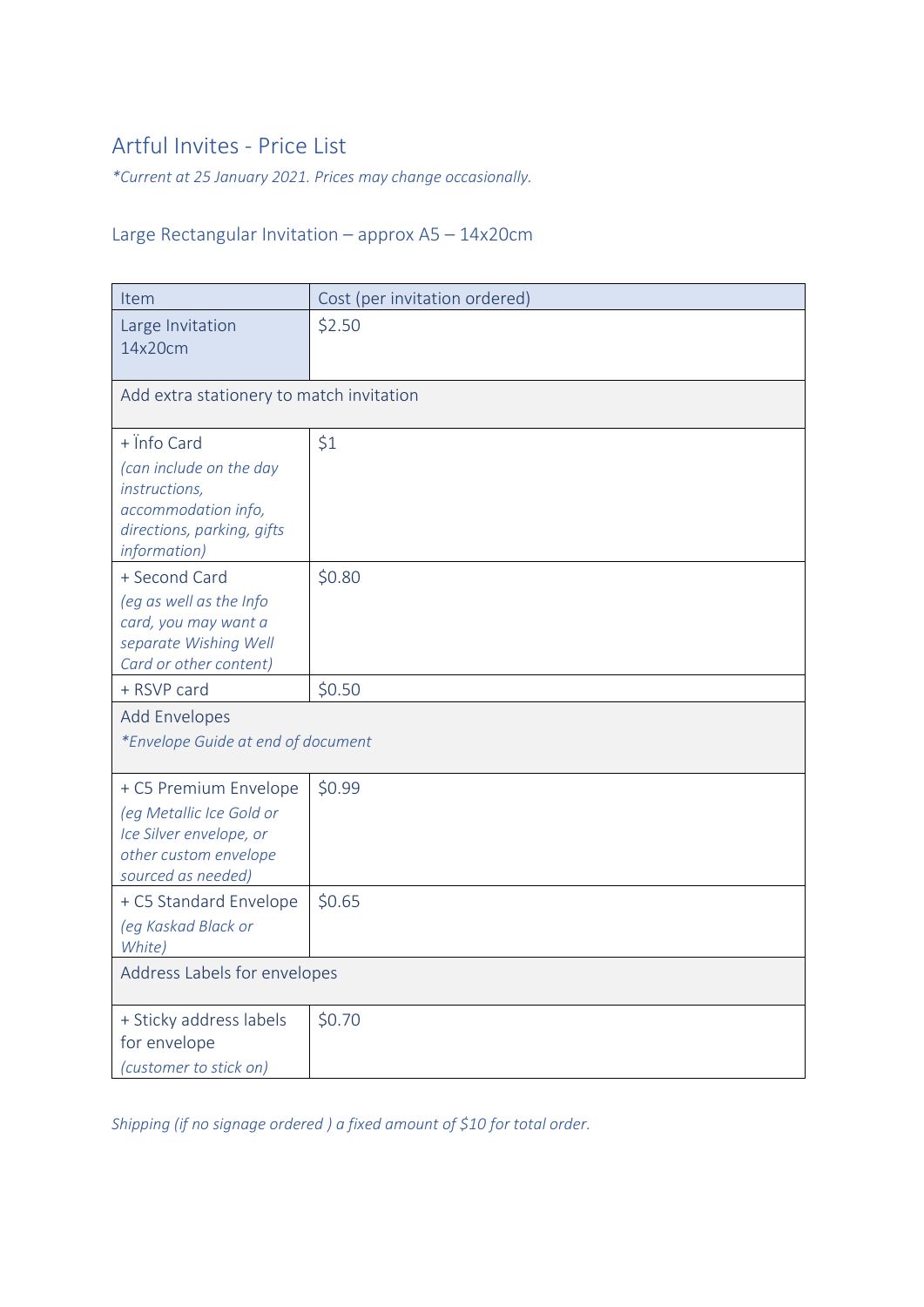# Artful Invites - Price List

*\*Current at 25 January 2021. Prices may change occasionally.*

## Large Rectangular Invitation – approx A5 – 14x20cm

| Item                                                                                                                           | Cost (per invitation ordered) |  |
|--------------------------------------------------------------------------------------------------------------------------------|-------------------------------|--|
| Large Invitation<br>14x20cm                                                                                                    | \$2.50                        |  |
| Add extra stationery to match invitation                                                                                       |                               |  |
| $+$ info Card<br>(can include on the day<br>instructions,<br>accommodation info,<br>directions, parking, gifts<br>information) | \$1                           |  |
| + Second Card<br>(eg as well as the Info<br>card, you may want a<br>separate Wishing Well<br>Card or other content)            | \$0.80                        |  |
| + RSVP card                                                                                                                    | \$0.50                        |  |
| <b>Add Envelopes</b><br>*Envelope Guide at end of document                                                                     |                               |  |
| + C5 Premium Envelope<br>(eg Metallic Ice Gold or<br>Ice Silver envelope, or<br>other custom envelope<br>sourced as needed)    | \$0.99                        |  |
| + C5 Standard Envelope<br>(eg Kaskad Black or<br>White)                                                                        | \$0.65                        |  |
| Address Labels for envelopes                                                                                                   |                               |  |
| + Sticky address labels<br>for envelope<br>(customer to stick on)                                                              | \$0.70                        |  |

*Shipping (if no signage ordered ) a fixed amount of \$10 for total order.*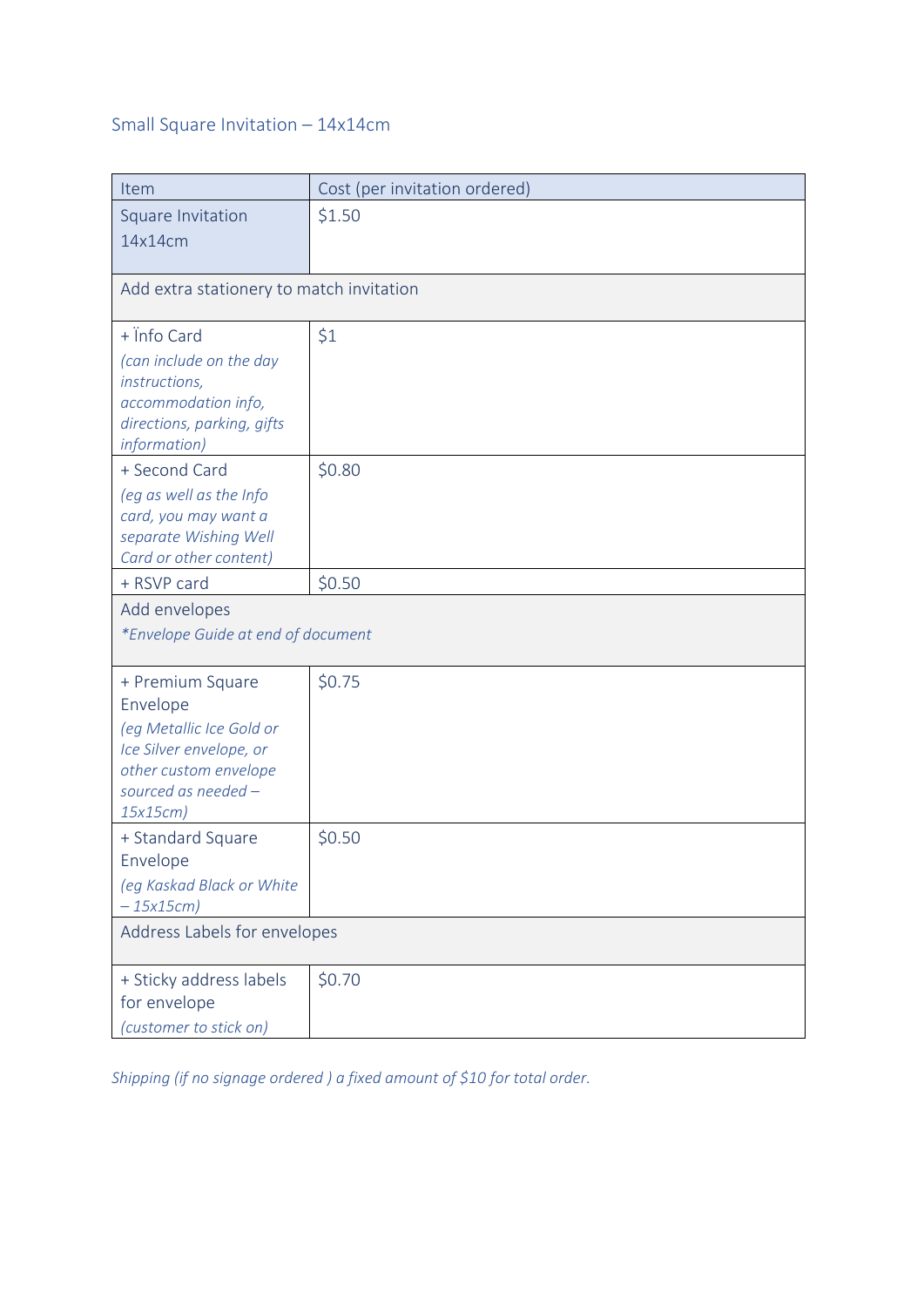## Small Square Invitation – 14x14cm

| Item                                                                                                                                            | Cost (per invitation ordered) |  |
|-------------------------------------------------------------------------------------------------------------------------------------------------|-------------------------------|--|
| Square Invitation<br>14x14cm                                                                                                                    | \$1.50                        |  |
| Add extra stationery to match invitation                                                                                                        |                               |  |
| + Info Card<br>(can include on the day<br>instructions,<br>accommodation info,<br>directions, parking, gifts<br>information)                    | \$1                           |  |
| + Second Card<br>(eg as well as the Info<br>card, you may want a<br>separate Wishing Well<br>Card or other content)                             | \$0.80                        |  |
| + RSVP card                                                                                                                                     | \$0.50                        |  |
| Add envelopes<br>*Envelope Guide at end of document                                                                                             |                               |  |
| + Premium Square<br>Envelope<br>(eg Metallic Ice Gold or<br>Ice Silver envelope, or<br>other custom envelope<br>sourced as needed -<br>15x15cm) | \$0.75                        |  |
| + Standard Square<br>Envelope<br>(eg Kaskad Black or White<br>$-15x15cm$                                                                        | \$0.50                        |  |
| Address Labels for envelopes                                                                                                                    |                               |  |
| + Sticky address labels<br>for envelope<br>(customer to stick on)                                                                               | \$0.70                        |  |

*Shipping (if no signage ordered ) a fixed amount of \$10 for total order.*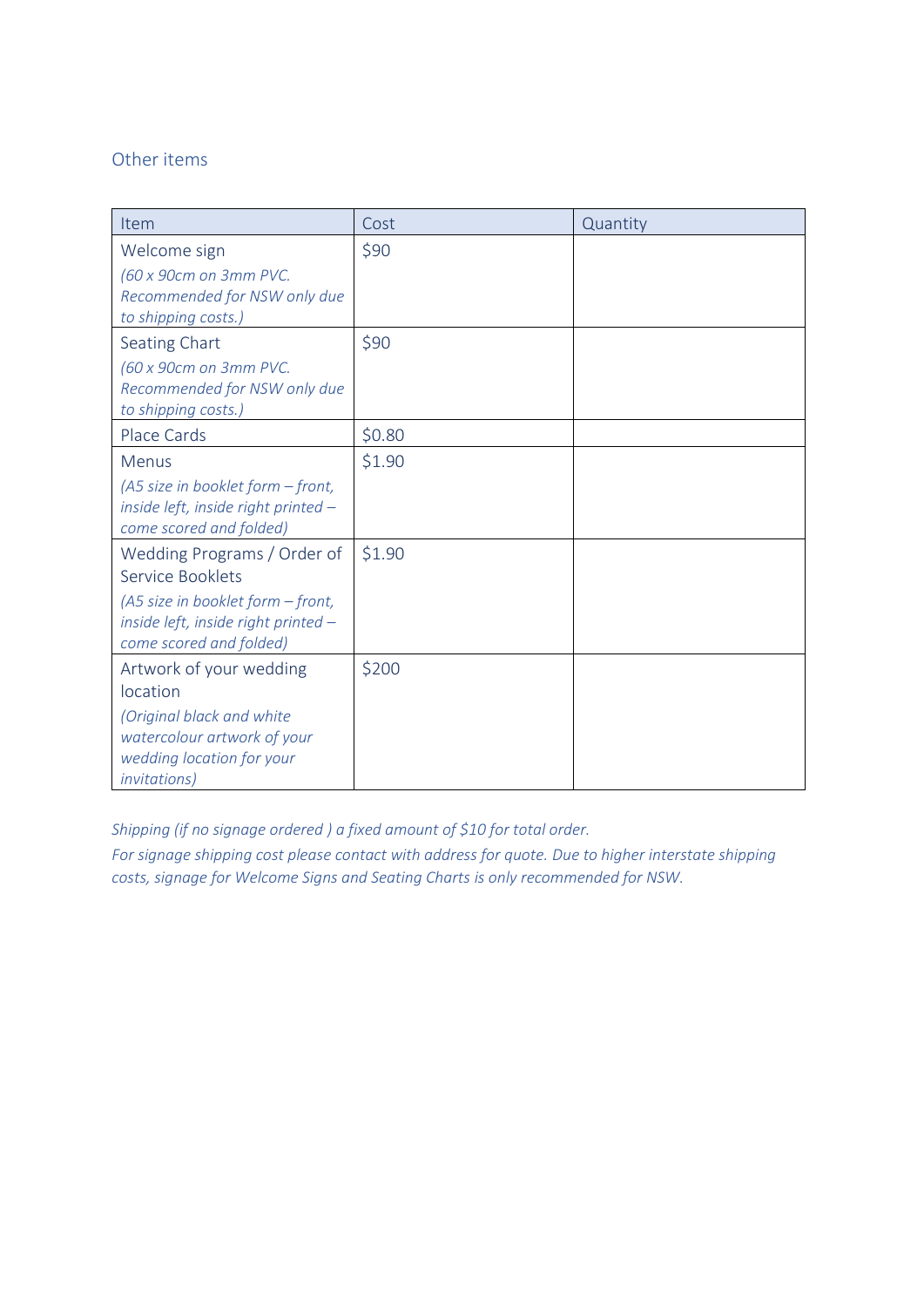#### Other items

| Item                                                                                                                                                   | Cost   | Quantity |
|--------------------------------------------------------------------------------------------------------------------------------------------------------|--------|----------|
| Welcome sign<br>(60 x 90cm on 3mm PVC.<br>Recommended for NSW only due<br>to shipping costs.)                                                          | \$90   |          |
| Seating Chart<br>(60 x 90cm on 3mm PVC.<br>Recommended for NSW only due<br>to shipping costs.)                                                         | \$90   |          |
| Place Cards                                                                                                                                            | \$0.80 |          |
| Menus<br>$(45 \text{ size in booklet form} - \text{front},$<br>inside left, inside right printed -<br>come scored and folded)                          | \$1.90 |          |
| Wedding Programs / Order of<br>Service Booklets<br>(A5 size in booklet form - front,<br>inside left, inside right printed -<br>come scored and folded) | \$1.90 |          |
| Artwork of your wedding<br>location<br>(Original black and white<br>watercolour artwork of your<br>wedding location for your<br><i>invitations</i> )   | \$200  |          |

*Shipping (if no signage ordered ) a fixed amount of \$10 for total order.*

*For signage shipping cost please contact with address for quote. Due to higher interstate shipping costs, signage for Welcome Signs and Seating Charts is only recommended for NSW.*